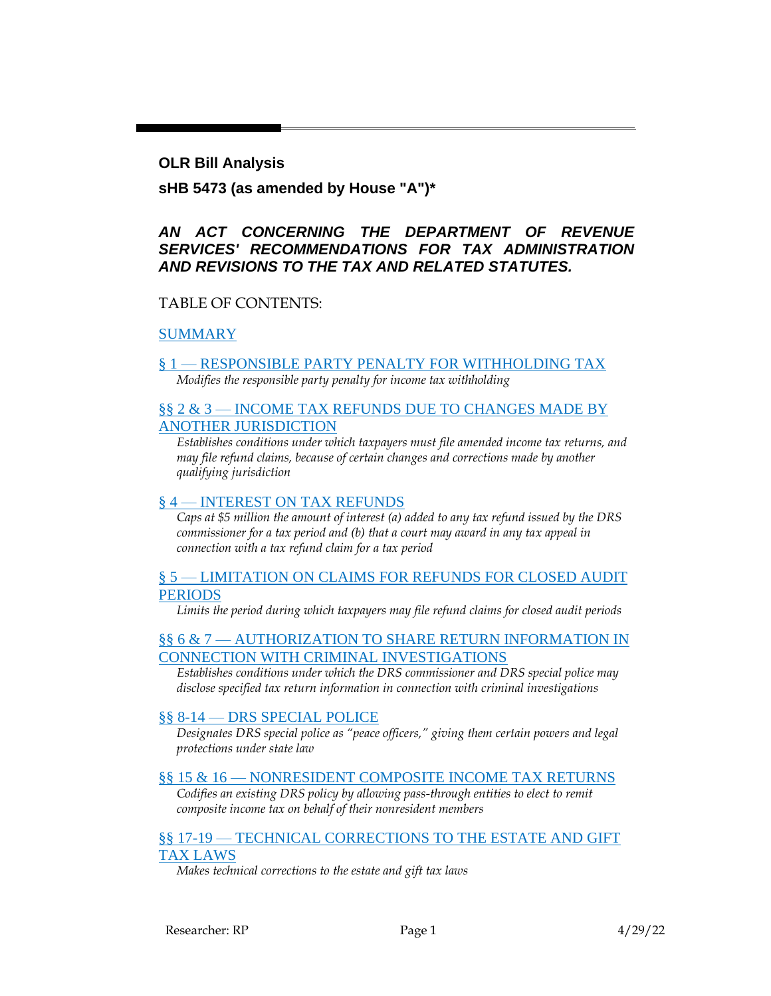### **OLR Bill Analysis**

## **sHB 5473 (as amended by House "A")\***

## *AN ACT CONCERNING THE DEPARTMENT OF REVENUE SERVICES' RECOMMENDATIONS FOR TAX ADMINISTRATION AND REVISIONS TO THE TAX AND RELATED STATUTES.*

## TABLE OF CONTENTS:

[SUMMARY](#page-1-0)

#### § 1 — [RESPONSIBLE PARTY PENALTY FOR WITHHOLDING TAX](#page-3-0) *Modifies the responsible party penalty for income tax withholding*

### §§ 2 & 3 — [INCOME TAX REFUNDS DUE TO CHANGES MADE BY](#page-3-1)  [ANOTHER JURISDICTION](#page-3-1)

*Establishes conditions under which taxpayers must file amended income tax returns, and may file refund claims, because of certain changes and corrections made by another qualifying jurisdiction*

### § 4 — [INTEREST ON TAX REFUNDS](#page-4-0)

*Caps at \$5 million the amount of interest (a) added to any tax refund issued by the DRS commissioner for a tax period and (b) that a court may award in any tax appeal in connection with a tax refund claim for a tax period*

#### § 5 — [LIMITATION ON CLAIMS FOR REFUNDS FOR CLOSED AUDIT](#page-4-1)  [PERIODS](#page-4-1)

*Limits the period during which taxpayers may file refund claims for closed audit periods*

### §§ 6 & 7 — [AUTHORIZATION TO SHARE RETURN INFORMATION IN](#page-4-2)  [CONNECTION WITH CRIMINAL INVESTIGATIONS](#page-4-2)

*Establishes conditions under which the DRS commissioner and DRS special police may disclose specified tax return information in connection with criminal investigations*

### §§ 8-14 — [DRS SPECIAL POLICE](#page-5-0)

*Designates DRS special police as "peace officers," giving them certain powers and legal protections under state law*

#### §§ 15 & 16 — [NONRESIDENT COMPOSITE INCOME TAX RETURNS](#page-6-0)

*Codifies an existing DRS policy by allowing pass-through entities to elect to remit composite income tax on behalf of their nonresident members*

#### §§ 17-19 — [TECHNICAL CORRECTIONS TO THE ESTATE AND GIFT](#page-7-0)  [TAX LAWS](#page-7-0)

*Makes technical corrections to the estate and gift tax laws*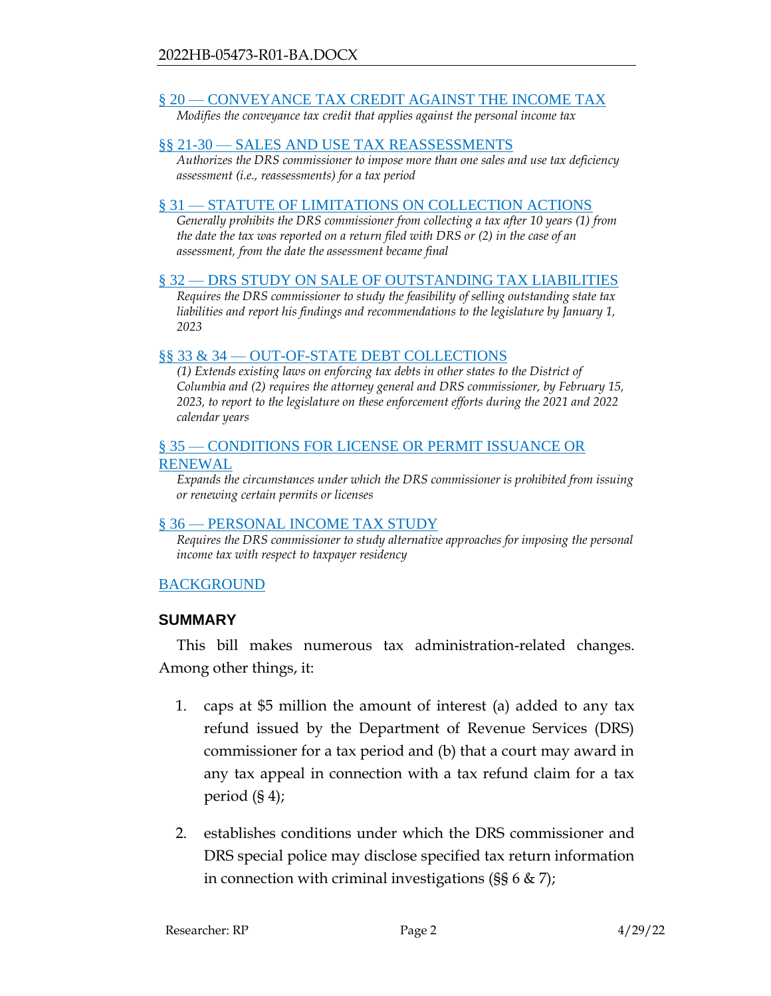## § 20 — [CONVEYANCE TAX CREDIT AGAINST THE INCOME TAX](#page-8-0)

*Modifies the conveyance tax credit that applies against the personal income tax*

### §§ 21-30 — [SALES AND USE TAX REASSESSMENTS](#page-8-1)

*Authorizes the DRS commissioner to impose more than one sales and use tax deficiency assessment (i.e., reassessments) for a tax period*

### § 31 — [STATUTE OF LIMITATIONS ON COLLECTION ACTIONS](#page-9-0)

*Generally prohibits the DRS commissioner from collecting a tax after 10 years (1) from the date the tax was reported on a return filed with DRS or (2) in the case of an assessment, from the date the assessment became final*

### § 32 — [DRS STUDY ON SALE OF OUTSTANDING TAX LIABILITIES](#page-10-0)

*Requires the DRS commissioner to study the feasibility of selling outstanding state tax liabilities and report his findings and recommendations to the legislature by January 1, 2023*

### §§ 33 & 34 — [OUT-OF-STATE DEBT COLLECTIONS](#page-10-1)

*(1) Extends existing laws on enforcing tax debts in other states to the District of Columbia and (2) requires the attorney general and DRS commissioner, by February 15, 2023, to report to the legislature on these enforcement efforts during the 2021 and 2022 calendar years*

### § 35 — [CONDITIONS FOR LICENSE OR PERMIT ISSUANCE OR](#page-11-0)  [RENEWAL](#page-11-0)

*Expands the circumstances under which the DRS commissioner is prohibited from issuing or renewing certain permits or licenses*

### § 36 — [PERSONAL INCOME TAX STUDY](#page-12-0)

*Requires the DRS commissioner to study alternative approaches for imposing the personal income tax with respect to taxpayer residency*

## [BACKGROUND](#page-12-1)

## <span id="page-1-0"></span>**SUMMARY**

This bill makes numerous tax administration-related changes. Among other things, it:

- 1. caps at \$5 million the amount of interest (a) added to any tax refund issued by the Department of Revenue Services (DRS) commissioner for a tax period and (b) that a court may award in any tax appeal in connection with a tax refund claim for a tax period (§ 4);
- 2. establishes conditions under which the DRS commissioner and DRS special police may disclose specified tax return information in connection with criminal investigations ( $\S$ § 6 & 7);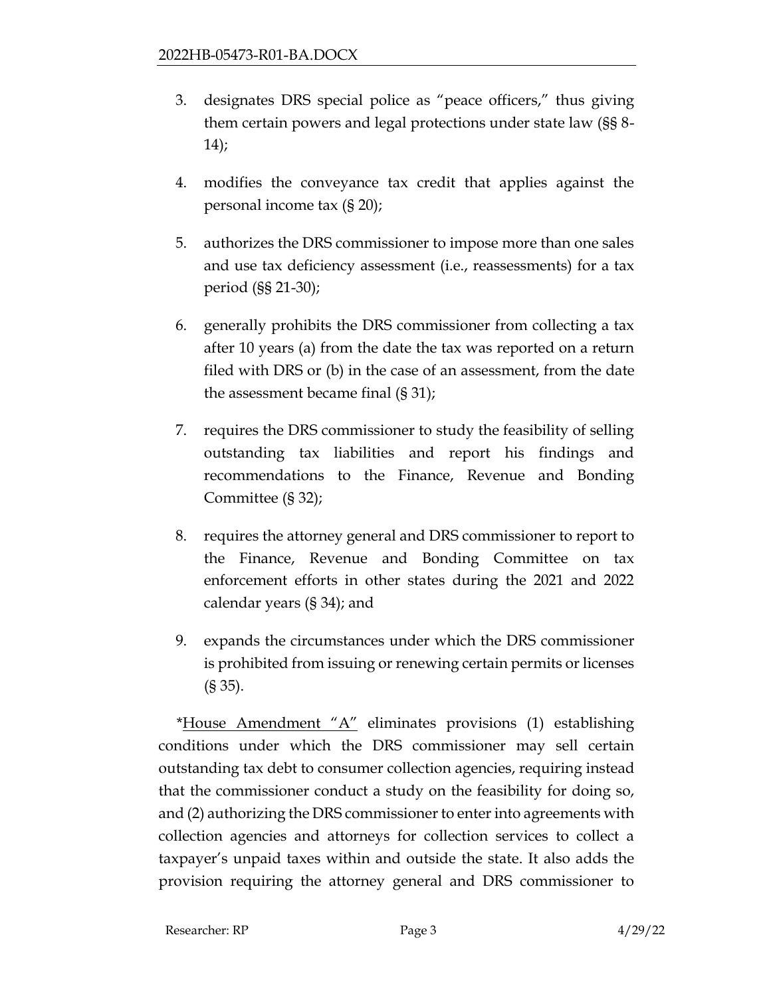- 3. designates DRS special police as "peace officers," thus giving them certain powers and legal protections under state law (§§ 8- 14);
- 4. modifies the conveyance tax credit that applies against the personal income tax (§ 20);
- 5. authorizes the DRS commissioner to impose more than one sales and use tax deficiency assessment (i.e., reassessments) for a tax period (§§ 21-30);
- 6. generally prohibits the DRS commissioner from collecting a tax after 10 years (a) from the date the tax was reported on a return filed with DRS or (b) in the case of an assessment, from the date the assessment became final (§ 31);
- 7. requires the DRS commissioner to study the feasibility of selling outstanding tax liabilities and report his findings and recommendations to the Finance, Revenue and Bonding Committee (§ 32);
- 8. requires the attorney general and DRS commissioner to report to the Finance, Revenue and Bonding Committee on tax enforcement efforts in other states during the 2021 and 2022 calendar years (§ 34); and
- 9. expands the circumstances under which the DRS commissioner is prohibited from issuing or renewing certain permits or licenses (§ 35).

\*House Amendment "A" eliminates provisions (1) establishing conditions under which the DRS commissioner may sell certain outstanding tax debt to consumer collection agencies, requiring instead that the commissioner conduct a study on the feasibility for doing so, and (2) authorizing the DRS commissioner to enter into agreements with collection agencies and attorneys for collection services to collect a taxpayer's unpaid taxes within and outside the state. It also adds the provision requiring the attorney general and DRS commissioner to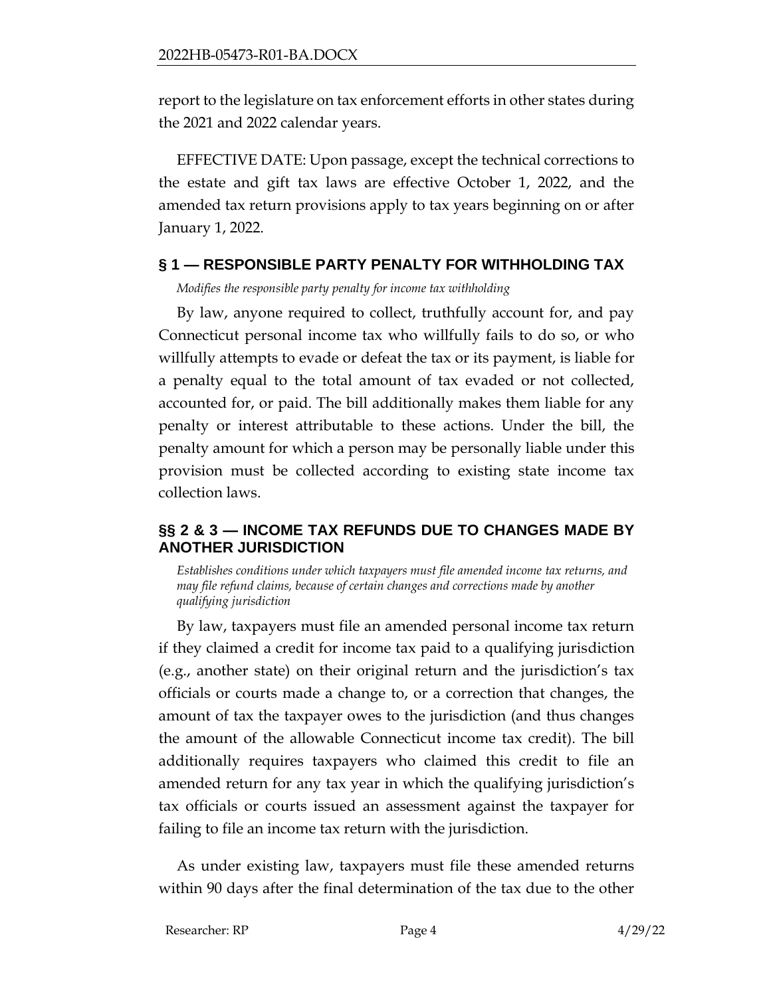report to the legislature on tax enforcement efforts in other states during the 2021 and 2022 calendar years.

EFFECTIVE DATE: Upon passage, except the technical corrections to the estate and gift tax laws are effective October 1, 2022, and the amended tax return provisions apply to tax years beginning on or after January 1, 2022.

# <span id="page-3-0"></span>**§ 1 — RESPONSIBLE PARTY PENALTY FOR WITHHOLDING TAX**

*Modifies the responsible party penalty for income tax withholding*

By law, anyone required to collect, truthfully account for, and pay Connecticut personal income tax who willfully fails to do so, or who willfully attempts to evade or defeat the tax or its payment, is liable for a penalty equal to the total amount of tax evaded or not collected, accounted for, or paid. The bill additionally makes them liable for any penalty or interest attributable to these actions. Under the bill, the penalty amount for which a person may be personally liable under this provision must be collected according to existing state income tax collection laws.

# <span id="page-3-1"></span>**§§ 2 & 3 — INCOME TAX REFUNDS DUE TO CHANGES MADE BY ANOTHER JURISDICTION**

*Establishes conditions under which taxpayers must file amended income tax returns, and may file refund claims, because of certain changes and corrections made by another qualifying jurisdiction*

By law, taxpayers must file an amended personal income tax return if they claimed a credit for income tax paid to a qualifying jurisdiction (e.g., another state) on their original return and the jurisdiction's tax officials or courts made a change to, or a correction that changes, the amount of tax the taxpayer owes to the jurisdiction (and thus changes the amount of the allowable Connecticut income tax credit). The bill additionally requires taxpayers who claimed this credit to file an amended return for any tax year in which the qualifying jurisdiction's tax officials or courts issued an assessment against the taxpayer for failing to file an income tax return with the jurisdiction.

As under existing law, taxpayers must file these amended returns within 90 days after the final determination of the tax due to the other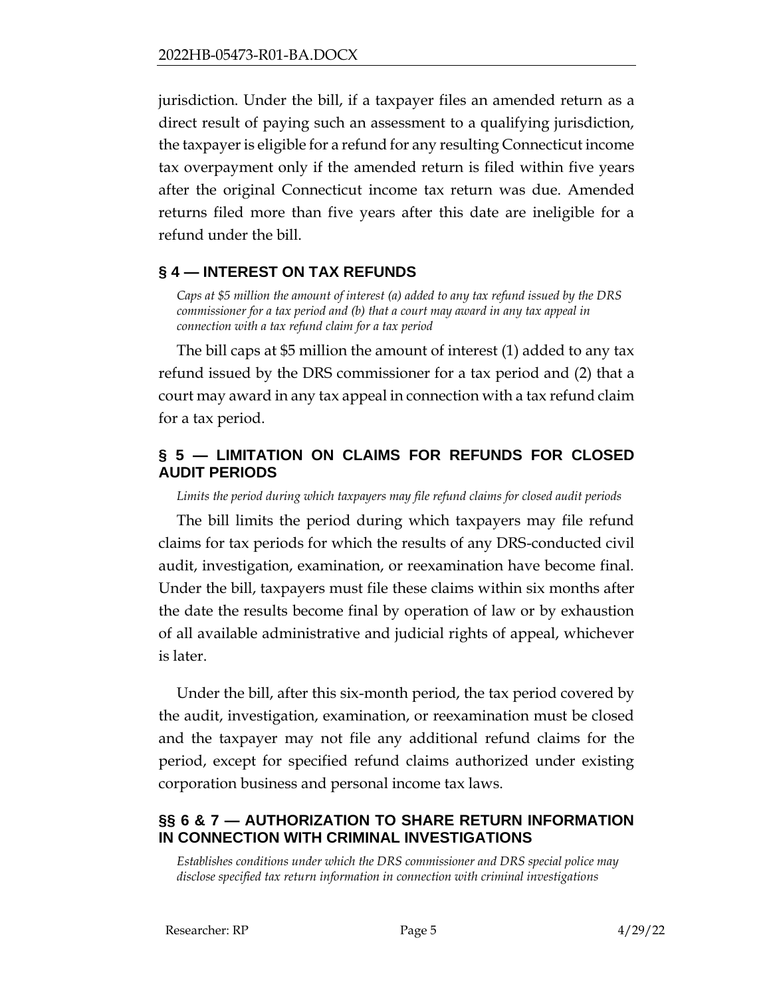jurisdiction. Under the bill, if a taxpayer files an amended return as a direct result of paying such an assessment to a qualifying jurisdiction, the taxpayer is eligible for a refund for any resulting Connecticut income tax overpayment only if the amended return is filed within five years after the original Connecticut income tax return was due. Amended returns filed more than five years after this date are ineligible for a refund under the bill.

## <span id="page-4-0"></span>**§ 4 — INTEREST ON TAX REFUNDS**

*Caps at \$5 million the amount of interest (a) added to any tax refund issued by the DRS commissioner for a tax period and (b) that a court may award in any tax appeal in connection with a tax refund claim for a tax period*

The bill caps at \$5 million the amount of interest (1) added to any tax refund issued by the DRS commissioner for a tax period and (2) that a court may award in any tax appeal in connection with a tax refund claim for a tax period.

# <span id="page-4-1"></span>**§ 5 — LIMITATION ON CLAIMS FOR REFUNDS FOR CLOSED AUDIT PERIODS**

*Limits the period during which taxpayers may file refund claims for closed audit periods*

The bill limits the period during which taxpayers may file refund claims for tax periods for which the results of any DRS-conducted civil audit, investigation, examination, or reexamination have become final. Under the bill, taxpayers must file these claims within six months after the date the results become final by operation of law or by exhaustion of all available administrative and judicial rights of appeal, whichever is later.

Under the bill, after this six-month period, the tax period covered by the audit, investigation, examination, or reexamination must be closed and the taxpayer may not file any additional refund claims for the period, except for specified refund claims authorized under existing corporation business and personal income tax laws.

# <span id="page-4-2"></span>**§§ 6 & 7 — AUTHORIZATION TO SHARE RETURN INFORMATION IN CONNECTION WITH CRIMINAL INVESTIGATIONS**

*Establishes conditions under which the DRS commissioner and DRS special police may disclose specified tax return information in connection with criminal investigations*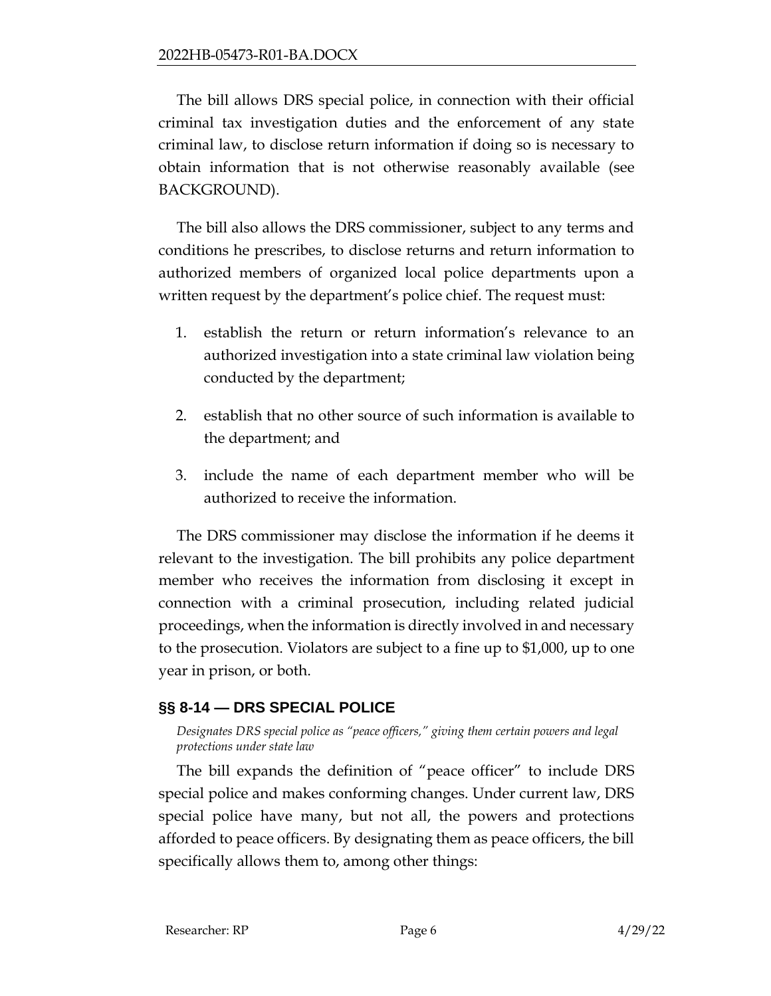The bill allows DRS special police, in connection with their official criminal tax investigation duties and the enforcement of any state criminal law, to disclose return information if doing so is necessary to obtain information that is not otherwise reasonably available (see BACKGROUND).

The bill also allows the DRS commissioner, subject to any terms and conditions he prescribes, to disclose returns and return information to authorized members of organized local police departments upon a written request by the department's police chief. The request must:

- 1. establish the return or return information's relevance to an authorized investigation into a state criminal law violation being conducted by the department;
- 2. establish that no other source of such information is available to the department; and
- 3. include the name of each department member who will be authorized to receive the information.

The DRS commissioner may disclose the information if he deems it relevant to the investigation. The bill prohibits any police department member who receives the information from disclosing it except in connection with a criminal prosecution, including related judicial proceedings, when the information is directly involved in and necessary to the prosecution. Violators are subject to a fine up to \$1,000, up to one year in prison, or both.

# <span id="page-5-0"></span>**§§ 8-14 — DRS SPECIAL POLICE**

*Designates DRS special police as "peace officers," giving them certain powers and legal protections under state law*

The bill expands the definition of "peace officer" to include DRS special police and makes conforming changes. Under current law, DRS special police have many, but not all, the powers and protections afforded to peace officers. By designating them as peace officers, the bill specifically allows them to, among other things: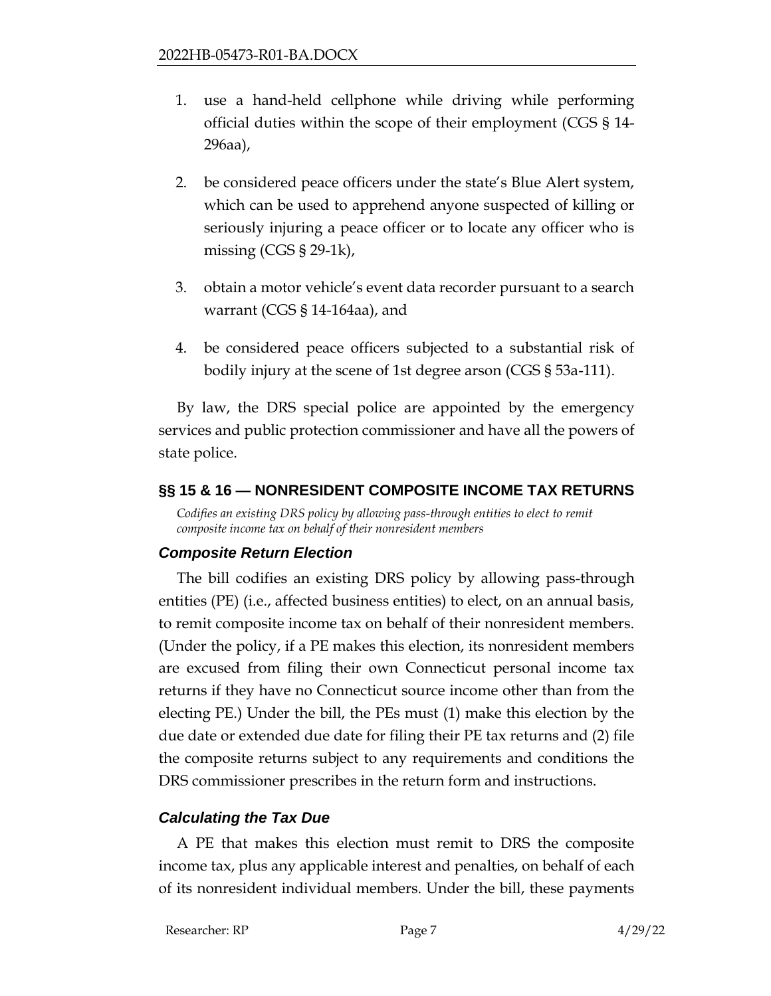- 1. use a hand-held cellphone while driving while performing official duties within the scope of their employment (CGS § 14- 296aa),
- 2. be considered peace officers under the state's Blue Alert system, which can be used to apprehend anyone suspected of killing or seriously injuring a peace officer or to locate any officer who is missing  $(CGS \$  29-1k),
- 3. obtain a motor vehicle's event data recorder pursuant to a search warrant (CGS § 14-164aa), and
- 4. be considered peace officers subjected to a substantial risk of bodily injury at the scene of 1st degree arson (CGS § 53a-111).

By law, the DRS special police are appointed by the emergency services and public protection commissioner and have all the powers of state police.

## <span id="page-6-0"></span>**§§ 15 & 16 — NONRESIDENT COMPOSITE INCOME TAX RETURNS**

*Codifies an existing DRS policy by allowing pass-through entities to elect to remit composite income tax on behalf of their nonresident members*

## *Composite Return Election*

The bill codifies an existing DRS policy by allowing pass-through entities (PE) (i.e., affected business entities) to elect, on an annual basis, to remit composite income tax on behalf of their nonresident members. (Under the policy, if a PE makes this election, its nonresident members are excused from filing their own Connecticut personal income tax returns if they have no Connecticut source income other than from the electing PE.) Under the bill, the PEs must (1) make this election by the due date or extended due date for filing their PE tax returns and (2) file the composite returns subject to any requirements and conditions the DRS commissioner prescribes in the return form and instructions.

## *Calculating the Tax Due*

A PE that makes this election must remit to DRS the composite income tax, plus any applicable interest and penalties, on behalf of each of its nonresident individual members. Under the bill, these payments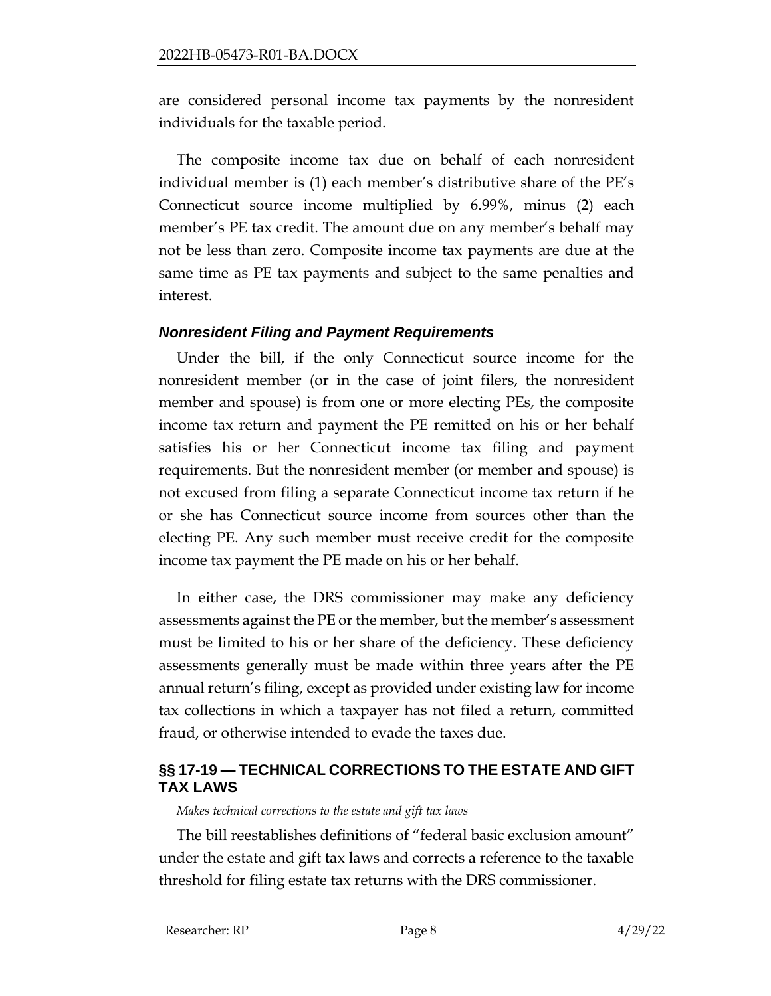are considered personal income tax payments by the nonresident individuals for the taxable period.

The composite income tax due on behalf of each nonresident individual member is (1) each member's distributive share of the PE's Connecticut source income multiplied by 6.99%, minus (2) each member's PE tax credit. The amount due on any member's behalf may not be less than zero. Composite income tax payments are due at the same time as PE tax payments and subject to the same penalties and interest.

## *Nonresident Filing and Payment Requirements*

Under the bill, if the only Connecticut source income for the nonresident member (or in the case of joint filers, the nonresident member and spouse) is from one or more electing PEs, the composite income tax return and payment the PE remitted on his or her behalf satisfies his or her Connecticut income tax filing and payment requirements. But the nonresident member (or member and spouse) is not excused from filing a separate Connecticut income tax return if he or she has Connecticut source income from sources other than the electing PE. Any such member must receive credit for the composite income tax payment the PE made on his or her behalf.

In either case, the DRS commissioner may make any deficiency assessments against the PE or the member, but the member's assessment must be limited to his or her share of the deficiency. These deficiency assessments generally must be made within three years after the PE annual return's filing, except as provided under existing law for income tax collections in which a taxpayer has not filed a return, committed fraud, or otherwise intended to evade the taxes due.

## <span id="page-7-0"></span>**§§ 17-19 — TECHNICAL CORRECTIONS TO THE ESTATE AND GIFT TAX LAWS**

*Makes technical corrections to the estate and gift tax laws*

The bill reestablishes definitions of "federal basic exclusion amount" under the estate and gift tax laws and corrects a reference to the taxable threshold for filing estate tax returns with the DRS commissioner.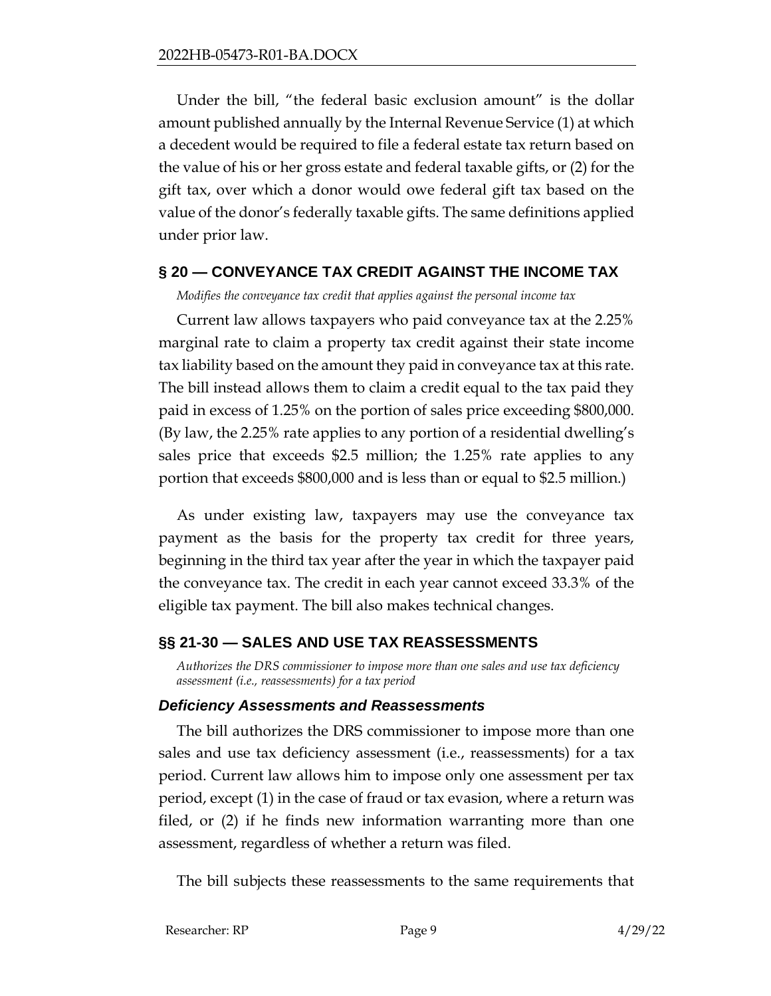Under the bill, "the federal basic exclusion amount" is the dollar amount published annually by the Internal Revenue Service (1) at which a decedent would be required to file a federal estate tax return based on the value of his or her gross estate and federal taxable gifts, or (2) for the gift tax, over which a donor would owe federal gift tax based on the value of the donor's federally taxable gifts. The same definitions applied under prior law.

## <span id="page-8-0"></span>**§ 20 — CONVEYANCE TAX CREDIT AGAINST THE INCOME TAX**

*Modifies the conveyance tax credit that applies against the personal income tax*

Current law allows taxpayers who paid conveyance tax at the 2.25% marginal rate to claim a property tax credit against their state income tax liability based on the amount they paid in conveyance tax at this rate. The bill instead allows them to claim a credit equal to the tax paid they paid in excess of 1.25% on the portion of sales price exceeding \$800,000. (By law, the 2.25% rate applies to any portion of a residential dwelling's sales price that exceeds \$2.5 million; the 1.25% rate applies to any portion that exceeds \$800,000 and is less than or equal to \$2.5 million.)

As under existing law, taxpayers may use the conveyance tax payment as the basis for the property tax credit for three years, beginning in the third tax year after the year in which the taxpayer paid the conveyance tax. The credit in each year cannot exceed 33.3% of the eligible tax payment. The bill also makes technical changes.

## <span id="page-8-1"></span>**§§ 21-30 — SALES AND USE TAX REASSESSMENTS**

*Authorizes the DRS commissioner to impose more than one sales and use tax deficiency assessment (i.e., reassessments) for a tax period*

## *Deficiency Assessments and Reassessments*

The bill authorizes the DRS commissioner to impose more than one sales and use tax deficiency assessment (i.e., reassessments) for a tax period. Current law allows him to impose only one assessment per tax period, except (1) in the case of fraud or tax evasion, where a return was filed, or (2) if he finds new information warranting more than one assessment, regardless of whether a return was filed.

The bill subjects these reassessments to the same requirements that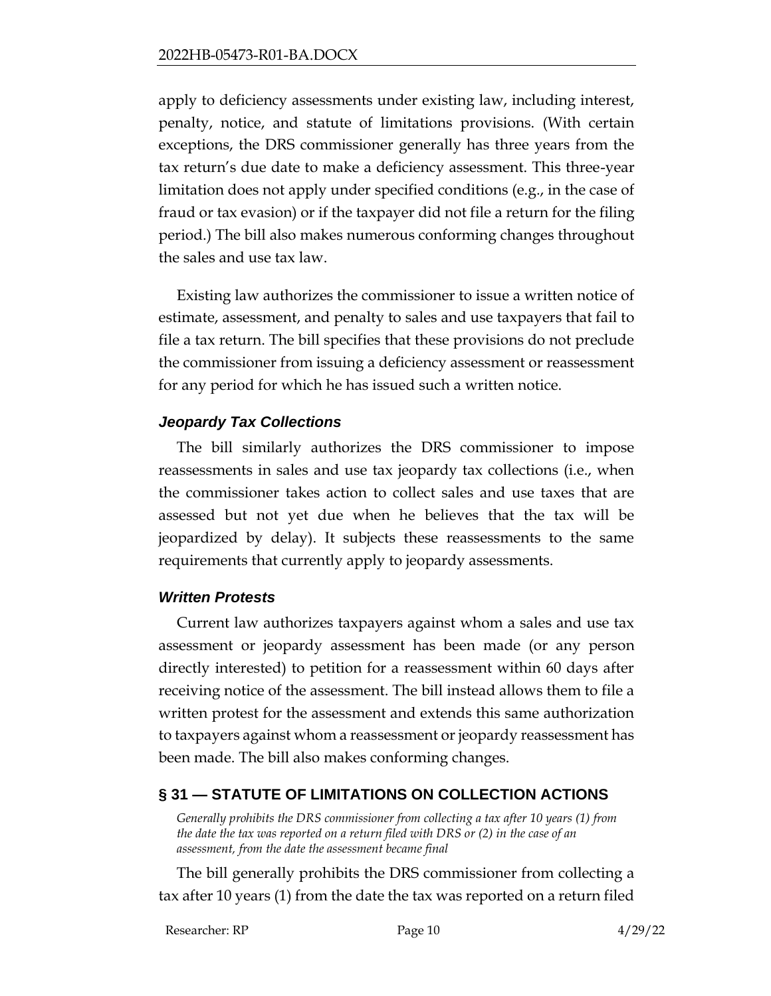apply to deficiency assessments under existing law, including interest, penalty, notice, and statute of limitations provisions. (With certain exceptions, the DRS commissioner generally has three years from the tax return's due date to make a deficiency assessment. This three-year limitation does not apply under specified conditions (e.g., in the case of fraud or tax evasion) or if the taxpayer did not file a return for the filing period.) The bill also makes numerous conforming changes throughout the sales and use tax law.

Existing law authorizes the commissioner to issue a written notice of estimate, assessment, and penalty to sales and use taxpayers that fail to file a tax return. The bill specifies that these provisions do not preclude the commissioner from issuing a deficiency assessment or reassessment for any period for which he has issued such a written notice.

## *Jeopardy Tax Collections*

The bill similarly authorizes the DRS commissioner to impose reassessments in sales and use tax jeopardy tax collections (i.e., when the commissioner takes action to collect sales and use taxes that are assessed but not yet due when he believes that the tax will be jeopardized by delay). It subjects these reassessments to the same requirements that currently apply to jeopardy assessments.

## *Written Protests*

Current law authorizes taxpayers against whom a sales and use tax assessment or jeopardy assessment has been made (or any person directly interested) to petition for a reassessment within 60 days after receiving notice of the assessment. The bill instead allows them to file a written protest for the assessment and extends this same authorization to taxpayers against whom a reassessment or jeopardy reassessment has been made. The bill also makes conforming changes.

## <span id="page-9-0"></span>**§ 31 — STATUTE OF LIMITATIONS ON COLLECTION ACTIONS**

*Generally prohibits the DRS commissioner from collecting a tax after 10 years (1) from the date the tax was reported on a return filed with DRS or (2) in the case of an assessment, from the date the assessment became final*

The bill generally prohibits the DRS commissioner from collecting a tax after 10 years (1) from the date the tax was reported on a return filed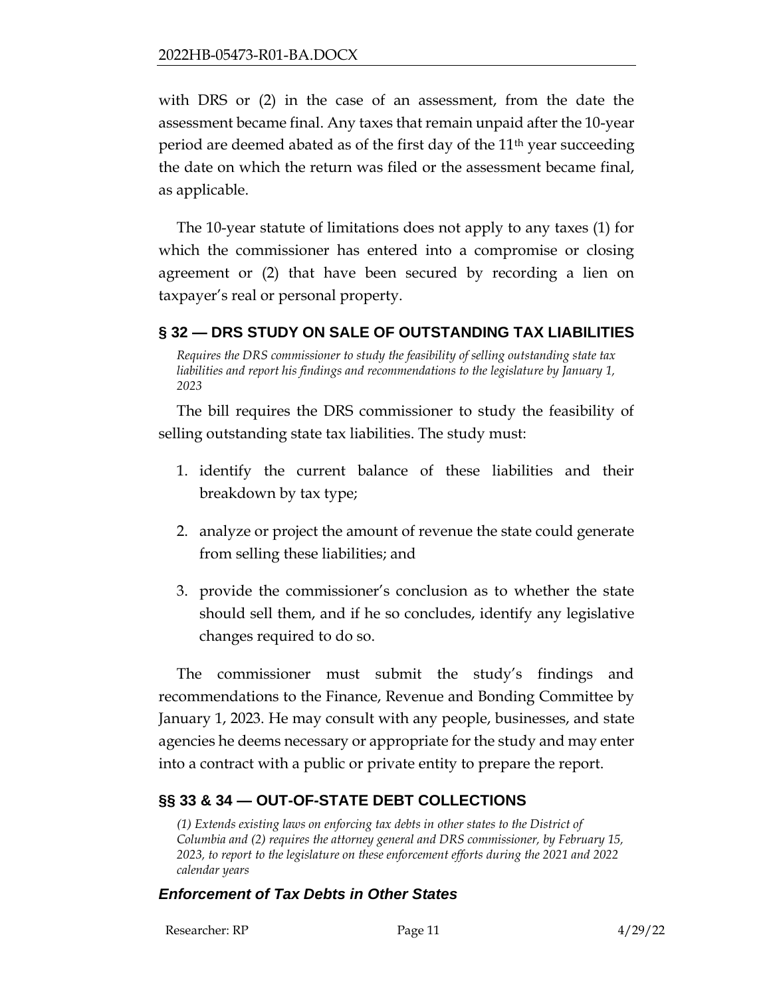with DRS or (2) in the case of an assessment, from the date the assessment became final. Any taxes that remain unpaid after the 10-year period are deemed abated as of the first day of the  $11<sup>th</sup>$  year succeeding the date on which the return was filed or the assessment became final, as applicable.

The 10-year statute of limitations does not apply to any taxes (1) for which the commissioner has entered into a compromise or closing agreement or (2) that have been secured by recording a lien on taxpayer's real or personal property.

## <span id="page-10-0"></span>**§ 32 — DRS STUDY ON SALE OF OUTSTANDING TAX LIABILITIES**

*Requires the DRS commissioner to study the feasibility of selling outstanding state tax liabilities and report his findings and recommendations to the legislature by January 1, 2023*

The bill requires the DRS commissioner to study the feasibility of selling outstanding state tax liabilities. The study must:

- 1. identify the current balance of these liabilities and their breakdown by tax type;
- 2. analyze or project the amount of revenue the state could generate from selling these liabilities; and
- 3. provide the commissioner's conclusion as to whether the state should sell them, and if he so concludes, identify any legislative changes required to do so.

The commissioner must submit the study's findings and recommendations to the Finance, Revenue and Bonding Committee by January 1, 2023. He may consult with any people, businesses, and state agencies he deems necessary or appropriate for the study and may enter into a contract with a public or private entity to prepare the report.

# <span id="page-10-1"></span>**§§ 33 & 34 — OUT-OF-STATE DEBT COLLECTIONS**

*(1) Extends existing laws on enforcing tax debts in other states to the District of Columbia and (2) requires the attorney general and DRS commissioner, by February 15, 2023, to report to the legislature on these enforcement efforts during the 2021 and 2022 calendar years*

## *Enforcement of Tax Debts in Other States*

Researcher: RP Page 11 4/29/22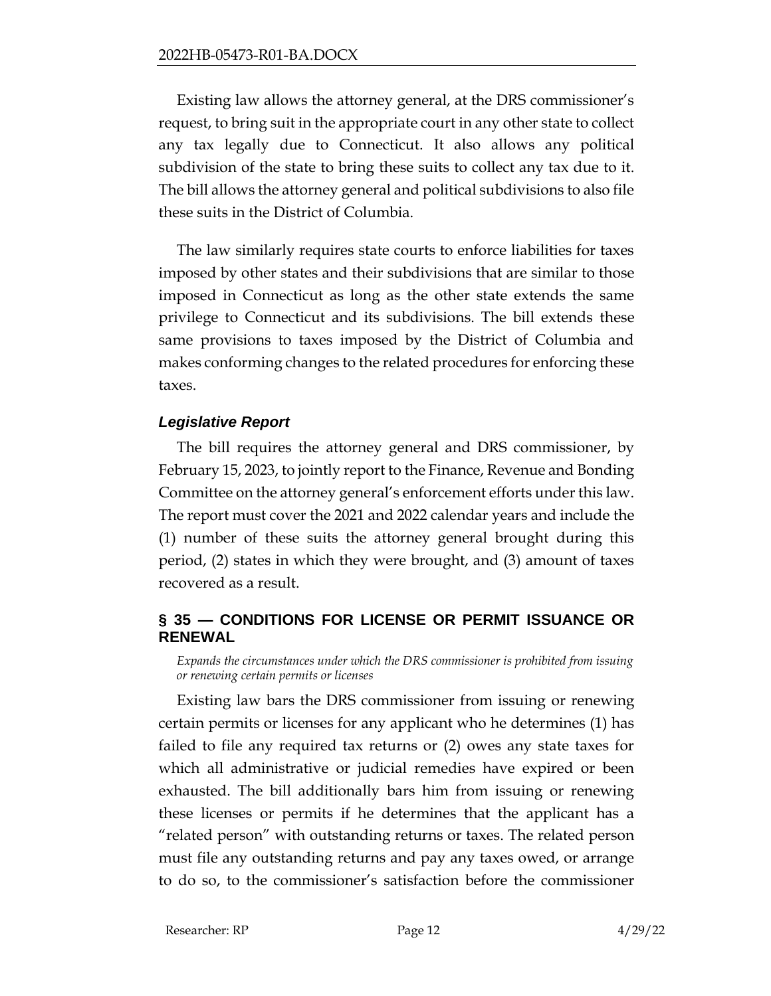Existing law allows the attorney general, at the DRS commissioner's request, to bring suit in the appropriate court in any other state to collect any tax legally due to Connecticut. It also allows any political subdivision of the state to bring these suits to collect any tax due to it. The bill allows the attorney general and political subdivisions to also file these suits in the District of Columbia.

The law similarly requires state courts to enforce liabilities for taxes imposed by other states and their subdivisions that are similar to those imposed in Connecticut as long as the other state extends the same privilege to Connecticut and its subdivisions. The bill extends these same provisions to taxes imposed by the District of Columbia and makes conforming changes to the related procedures for enforcing these taxes.

## *Legislative Report*

The bill requires the attorney general and DRS commissioner, by February 15, 2023, to jointly report to the Finance, Revenue and Bonding Committee on the attorney general's enforcement efforts under this law. The report must cover the 2021 and 2022 calendar years and include the (1) number of these suits the attorney general brought during this period, (2) states in which they were brought, and (3) amount of taxes recovered as a result.

## <span id="page-11-0"></span>**§ 35 — CONDITIONS FOR LICENSE OR PERMIT ISSUANCE OR RENEWAL**

*Expands the circumstances under which the DRS commissioner is prohibited from issuing or renewing certain permits or licenses*

Existing law bars the DRS commissioner from issuing or renewing certain permits or licenses for any applicant who he determines (1) has failed to file any required tax returns or (2) owes any state taxes for which all administrative or judicial remedies have expired or been exhausted. The bill additionally bars him from issuing or renewing these licenses or permits if he determines that the applicant has a "related person" with outstanding returns or taxes. The related person must file any outstanding returns and pay any taxes owed, or arrange to do so, to the commissioner's satisfaction before the commissioner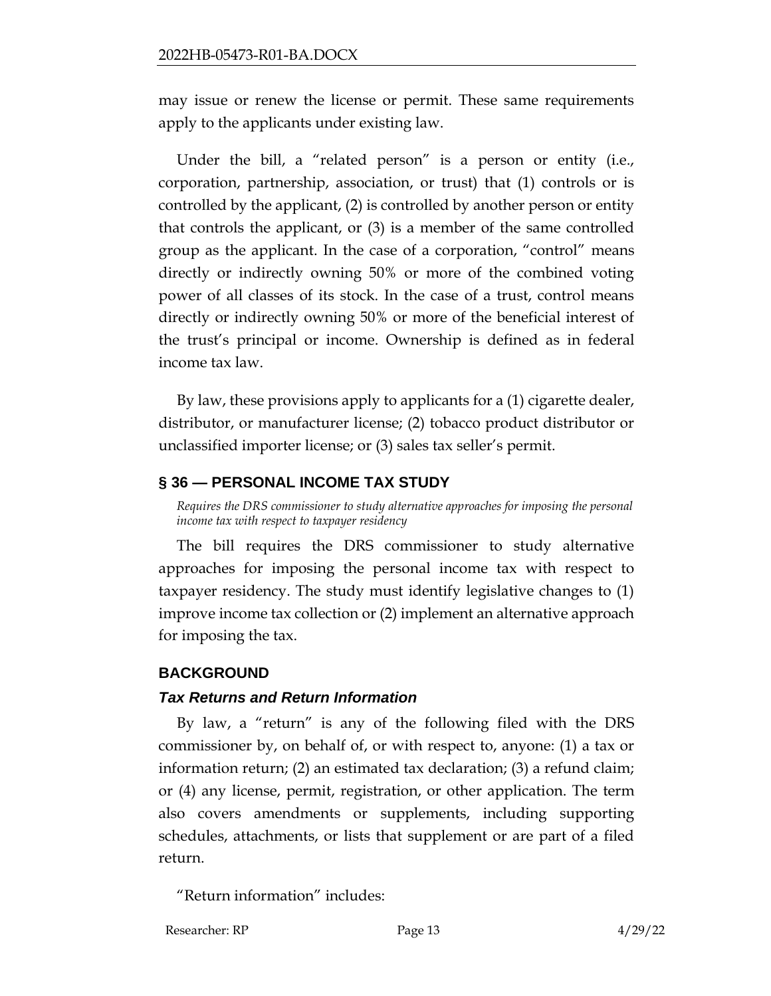may issue or renew the license or permit. These same requirements apply to the applicants under existing law.

Under the bill, a "related person" is a person or entity (i.e., corporation, partnership, association, or trust) that (1) controls or is controlled by the applicant, (2) is controlled by another person or entity that controls the applicant, or (3) is a member of the same controlled group as the applicant. In the case of a corporation, "control" means directly or indirectly owning 50% or more of the combined voting power of all classes of its stock. In the case of a trust, control means directly or indirectly owning 50% or more of the beneficial interest of the trust's principal or income. Ownership is defined as in federal income tax law.

By law, these provisions apply to applicants for a (1) cigarette dealer, distributor, or manufacturer license; (2) tobacco product distributor or unclassified importer license; or (3) sales tax seller's permit.

## <span id="page-12-0"></span>**§ 36 — PERSONAL INCOME TAX STUDY**

*Requires the DRS commissioner to study alternative approaches for imposing the personal income tax with respect to taxpayer residency*

The bill requires the DRS commissioner to study alternative approaches for imposing the personal income tax with respect to taxpayer residency. The study must identify legislative changes to (1) improve income tax collection or (2) implement an alternative approach for imposing the tax.

## <span id="page-12-1"></span>**BACKGROUND**

## *Tax Returns and Return Information*

By law, a "return" is any of the following filed with the DRS commissioner by, on behalf of, or with respect to, anyone: (1) a tax or information return; (2) an estimated tax declaration; (3) a refund claim; or (4) any license, permit, registration, or other application. The term also covers amendments or supplements, including supporting schedules, attachments, or lists that supplement or are part of a filed return.

"Return information" includes:

Researcher: RP Page 13 4/29/22